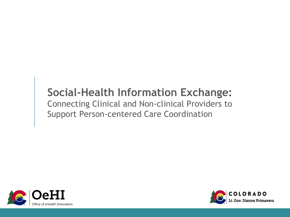# **Social-Health Information Exchange:**

Connecting Clinical and Non-clinical Providers to Support Person-centered Care Coordination



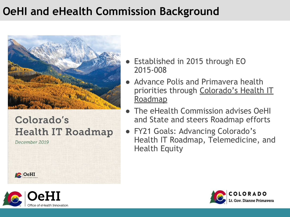# **OeHI and eHealth Commission Background**



### Colorado's **Health IT Roadmap**

December 2019

**C**OeHI

- Established in 2015 through EO 2015-008
- Advance Polis and Primavera health priorities through [Colorado's Health IT](https://oehi.colorado.gov/sites/oehi/files/documents/Colorado%20Health%20IT%20Roadmap-19_Web%20%281%29.pdf) [Roadmap](https://oehi.colorado.gov/sites/oehi/files/documents/Colorado%20Health%20IT%20Roadmap-19_Web%20%281%29.pdf)
- The eHealth Commission advises OeHI and State and steers Roadmap efforts
- FY21 Goals: Advancing Colorado's Health IT Roadmap, Telemedicine, and Health Equity



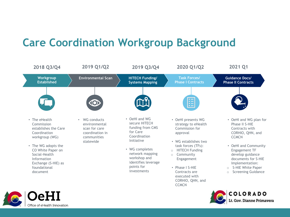## **Care Coordination Workgroup Background**



COLORADO

t. Gov. Dianne Primavera

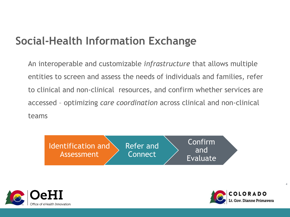## **Social-Health Information Exchange**

An interoperable and customizable *infrastructure* that allows multiple entities to screen and assess the needs of individuals and families, refer to clinical and non-clinical resources, and confirm whether services are accessed – optimizing *care coordination* across clinical and non-clinical teams







 $\overline{4}$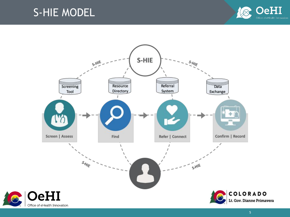#### S-HIE MODEL





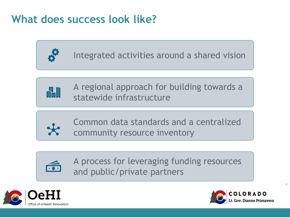## **What does success look like?**



Integrated activities around a shared vision



A regional approach for building towards a statewide infrastructure



Common data standards and a centralized community resource inventory



A process for leveraging funding resources and public/private partners





 $\overline{6}$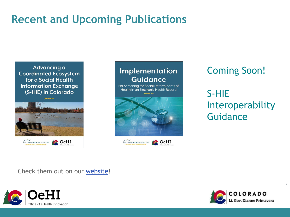### **Recent and Upcoming Publications**

Advancing a **Coordinated Ecosystem** for a Social Health **Information Exchange** (S-HIE) in Colorado





Coming Soon!

S-HIE Interoperability Guidance

Check them out on our [website!](https://oehi.colorado.gov/oehi-projects/care-coordination)





 $\overline{7}$